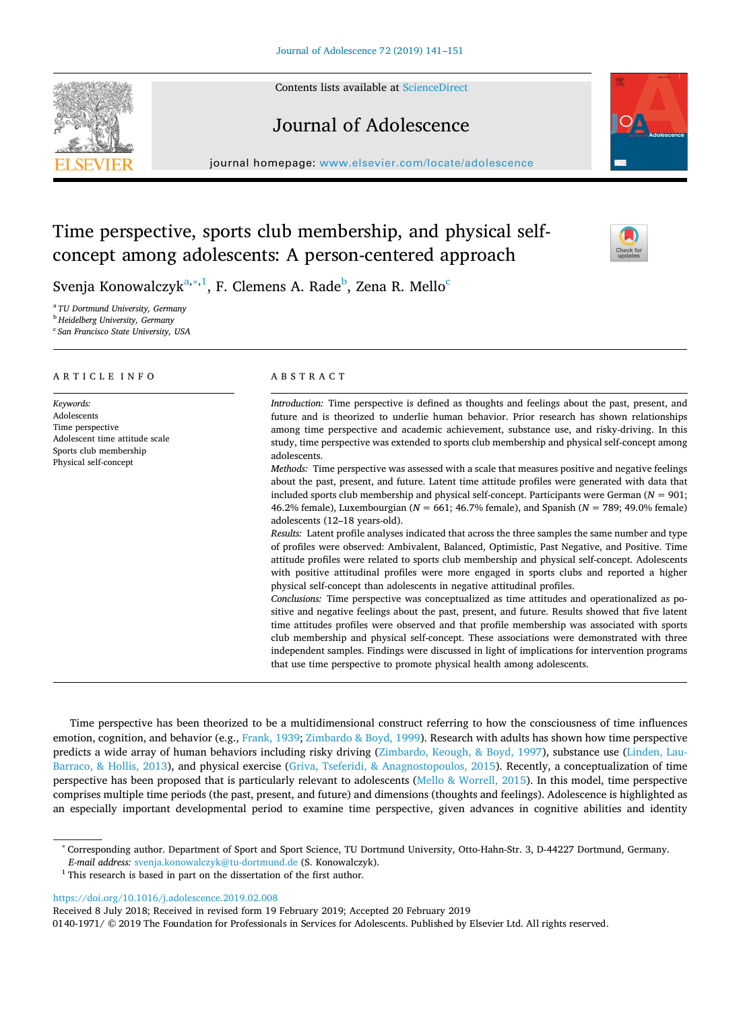Contents lists available at [ScienceDirect](http://www.sciencedirect.com/science/journal/01401971)

# Journal of Adolescence

journal homepage: [www.elsevier.com/locate/adolescence](https://www.elsevier.com/locate/adolescence)

# Time perspective, sports club membership, and physical selfconcept among adolescents: A person-centered approach



Svenja Konowalczy $k^{a,*,1}$  $k^{a,*,1}$  $k^{a,*,1}$ , F. Clemens A. Rade $^b$  $^b$ , Zena R. Mello $^c$ 

<span id="page-0-0"></span><sup>a</sup> *TU Dortmund University, Germany*

<span id="page-0-3"></span><sup>b</sup> *Heidelberg University, Germany*

<span id="page-0-4"></span><sup>c</sup> *San Francisco State University, USA*

#### ARTICLE INFO

*Keywords:* Adolescents Time perspective Adolescent time attitude scale Sports club membership Physical self-concept

#### ABSTRACT

*Introduction:* Time perspective is defined as thoughts and feelings about the past, present, and future and is theorized to underlie human behavior. Prior research has shown relationships among time perspective and academic achievement, substance use, and risky-driving. In this study, time perspective was extended to sports club membership and physical self-concept among adolescents.

*Methods:* Time perspective was assessed with a scale that measures positive and negative feelings about the past, present, and future. Latent time attitude profiles were generated with data that included sports club membership and physical self-concept. Participants were German (*N* = 901; 46.2% female), Luxembourgian (*N* = 661; 46.7% female), and Spanish (*N* = 789; 49.0% female) adolescents (12–18 years-old).

*Results:* Latent profile analyses indicated that across the three samples the same number and type of profiles were observed: Ambivalent, Balanced, Optimistic, Past Negative, and Positive. Time attitude profiles were related to sports club membership and physical self-concept. Adolescents with positive attitudinal profiles were more engaged in sports clubs and reported a higher physical self-concept than adolescents in negative attitudinal profiles.

*Conclusions:* Time perspective was conceptualized as time attitudes and operationalized as positive and negative feelings about the past, present, and future. Results showed that five latent time attitudes profiles were observed and that profile membership was associated with sports club membership and physical self-concept. These associations were demonstrated with three independent samples. Findings were discussed in light of implications for intervention programs that use time perspective to promote physical health among adolescents.

Time perspective has been theorized to be a multidimensional construct referring to how the consciousness of time influences emotion, cognition, and behavior (e.g., [Frank, 1939](#page-9-0); [Zimbardo & Boyd, 1999\)](#page-10-0). Research with adults has shown how time perspective predicts a wide array of human behaviors including risky driving ([Zimbardo, Keough, & Boyd, 1997](#page-10-1)), substance use ([Linden, Lau-](#page-9-1)[Barraco, & Hollis, 2013\)](#page-9-1), and physical exercise [\(Griva, Tseferidi, & Anagnostopoulos, 2015](#page-9-2)). Recently, a conceptualization of time perspective has been proposed that is particularly relevant to adolescents [\(Mello & Worrell, 2015\)](#page-9-3). In this model, time perspective comprises multiple time periods (the past, present, and future) and dimensions (thoughts and feelings). Adolescence is highlighted as an especially important developmental period to examine time perspective, given advances in cognitive abilities and identity

*E-mail address:* [svenja.konowalczyk@tu-dortmund.de](mailto:svenja.konowalczyk@tu-dortmund.de) (S. Konowalczyk).

<https://doi.org/10.1016/j.adolescence.2019.02.008>

Received 8 July 2018; Received in revised form 19 February 2019; Accepted 20 February 2019 0140-1971/ © 2019 The Foundation for Professionals in Services for Adolescents. Published by Elsevier Ltd. All rights reserved.



<span id="page-0-1"></span><sup>∗</sup> Corresponding author. Department of Sport and Sport Science, TU Dortmund University, Otto-Hahn-Str. 3, D-44227 Dortmund, Germany.

<span id="page-0-2"></span> $^{\rm 1}$  This research is based in part on the dissertation of the first author.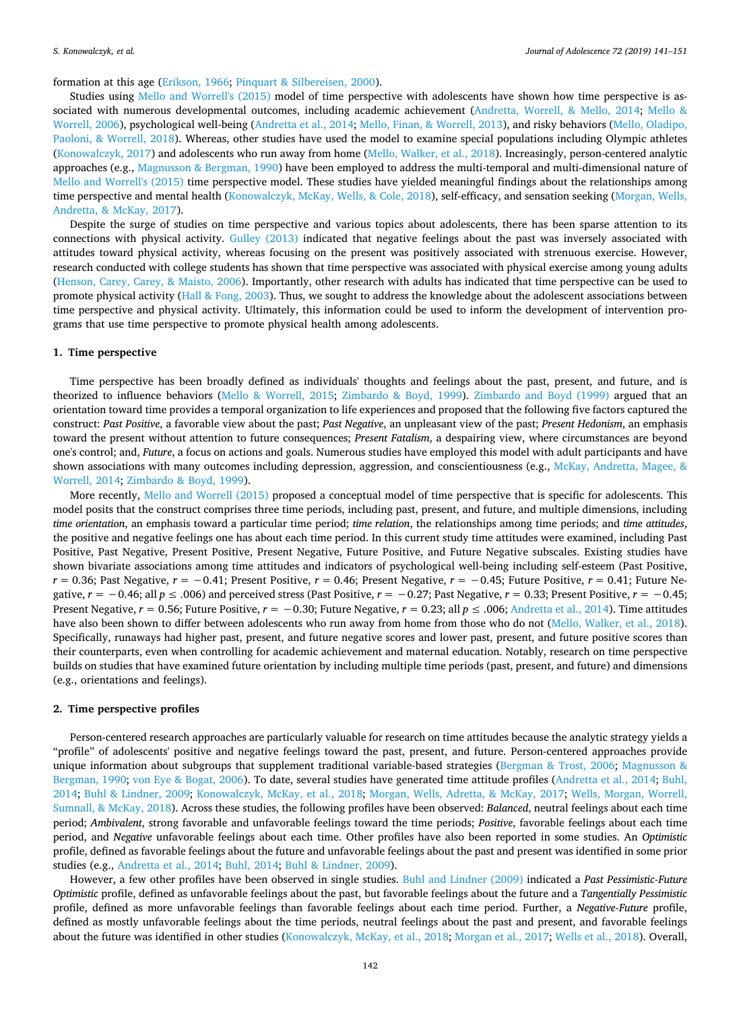# formation at this age [\(Erikson, 1966;](#page-9-4) [Pinquart & Silbereisen, 2000\)](#page-10-2).

Studies using [Mello and Worrell's \(2015\)](#page-9-3) model of time perspective with adolescents have shown how time perspective is associated with numerous developmental outcomes, including academic achievement ([Andretta, Worrell, & Mello, 2014](#page-8-0); [Mello &](#page-9-5) [Worrell, 2006\)](#page-9-5), psychological well-being [\(Andretta et al., 2014](#page-8-0); [Mello, Finan, & Worrell, 2013\)](#page-9-6), and risky behaviors ([Mello, Oladipo,](#page-9-7) [Paoloni, & Worrell, 2018](#page-9-7)). Whereas, other studies have used the model to examine special populations including Olympic athletes [\(Konowalczyk, 2017](#page-9-8)) and adolescents who run away from home [\(Mello, Walker, et al., 2018\)](#page-9-9). Increasingly, person-centered analytic approaches (e.g., [Magnusson & Bergman, 1990](#page-9-10)) have been employed to address the multi-temporal and multi-dimensional nature of [Mello and Worrell's \(2015\)](#page-9-3) time perspective model. These studies have yielded meaningful findings about the relationships among time perspective and mental health [\(Konowalczyk, McKay, Wells, & Cole, 2018\)](#page-9-11), self-efficacy, and sensation seeking [\(Morgan, Wells,](#page-10-3) [Andretta, & McKay, 2017\)](#page-10-3).

Despite the surge of studies on time perspective and various topics about adolescents, there has been sparse attention to its connections with physical activity. [Gulley \(2013\)](#page-9-12) indicated that negative feelings about the past was inversely associated with attitudes toward physical activity, whereas focusing on the present was positively associated with strenuous exercise. However, research conducted with college students has shown that time perspective was associated with physical exercise among young adults [\(Henson, Carey, Carey, & Maisto, 2006\)](#page-9-13). Importantly, other research with adults has indicated that time perspective can be used to promote physical activity ([Hall & Fong, 2003\)](#page-9-14). Thus, we sought to address the knowledge about the adolescent associations between time perspective and physical activity. Ultimately, this information could be used to inform the development of intervention programs that use time perspective to promote physical health among adolescents.

#### **1. Time perspective**

Time perspective has been broadly defined as individuals' thoughts and feelings about the past, present, and future, and is theorized to influence behaviors ([Mello & Worrell, 2015;](#page-9-3) [Zimbardo & Boyd, 1999\)](#page-10-0). [Zimbardo and Boyd \(1999\)](#page-10-0) argued that an orientation toward time provides a temporal organization to life experiences and proposed that the following five factors captured the construct: *Past Positive*, a favorable view about the past; *Past Negative*, an unpleasant view of the past; *Present Hedonism*, an emphasis toward the present without attention to future consequences; *Present Fatalism*, a despairing view, where circumstances are beyond one's control; and, *Future*, a focus on actions and goals. Numerous studies have employed this model with adult participants and have shown associations with many outcomes including depression, aggression, and conscientiousness (e.g., [McKay, Andretta, Magee, &](#page-9-15) [Worrell, 2014](#page-9-15); [Zimbardo & Boyd, 1999](#page-10-0)).

More recently, [Mello and Worrell \(2015\)](#page-9-3) proposed a conceptual model of time perspective that is specific for adolescents. This model posits that the construct comprises three time periods, including past, present, and future, and multiple dimensions, including *time orientation*, an emphasis toward a particular time period; *time relation*, the relationships among time periods; and *time attitudes*, the positive and negative feelings one has about each time period. In this current study time attitudes were examined, including Past Positive, Past Negative, Present Positive, Present Negative, Future Positive, and Future Negative subscales. Existing studies have shown bivariate associations among time attitudes and indicators of psychological well-being including self-esteem (Past Positive, *r* = 0.36; Past Negative, *r* = −0.41; Present Positive, *r* = 0.46; Present Negative, *r* = −0.45; Future Positive, *r* = 0.41; Future Negative, *r* = −0.46; all *p* ≤ .006) and perceived stress (Past Positive, *r* = −0.27; Past Negative, *r* = 0.33; Present Positive, *r* = −0.45; Present Negative,  $r = 0.56$ ; Future Positive,  $r = -0.30$ ; Future Negative,  $r = 0.23$ ; all  $p \le 0.006$ ; [Andretta et al., 2014](#page-8-0)). Time attitudes have also been shown to differ between adolescents who run away from home from those who do not [\(Mello, Walker, et al., 2018](#page-9-9)). Specifically, runaways had higher past, present, and future negative scores and lower past, present, and future positive scores than their counterparts, even when controlling for academic achievement and maternal education. Notably, research on time perspective builds on studies that have examined future orientation by including multiple time periods (past, present, and future) and dimensions (e.g., orientations and feelings).

## **2. Time perspective profiles**

Person-centered research approaches are particularly valuable for research on time attitudes because the analytic strategy yields a "profile" of adolescents' positive and negative feelings toward the past, present, and future. Person-centered approaches provide unique information about subgroups that supplement traditional variable-based strategies ([Bergman & Trost, 2006;](#page-8-1) [Magnusson &](#page-9-10) [Bergman, 1990;](#page-9-10) [von Eye & Bogat, 2006](#page-9-16)). To date, several studies have generated time attitude profiles [\(Andretta et al., 2014](#page-8-0); [Buhl,](#page-8-2) [2014;](#page-8-2) [Buhl & Lindner, 2009;](#page-9-17) [Konowalczyk, McKay, et al., 2018;](#page-9-11) [Morgan, Wells, Adretta, & McKay, 2017;](#page-10-3) [Wells, Morgan, Worrell,](#page-10-4) [Sumnall, & McKay, 2018\)](#page-10-4). Across these studies, the following profiles have been observed: *Balanced*, neutral feelings about each time period; *Ambivalent*, strong favorable and unfavorable feelings toward the time periods; *Positive*, favorable feelings about each time period, and *Negative* unfavorable feelings about each time. Other profiles have also been reported in some studies. An *Optimistic* profile, defined as favorable feelings about the future and unfavorable feelings about the past and present was identified in some prior studies (e.g., [Andretta et al., 2014;](#page-8-0) [Buhl, 2014;](#page-8-2) [Buhl & Lindner, 2009\)](#page-9-17).

However, a few other profiles have been observed in single studies. [Buhl and Lindner \(2009\)](#page-9-17) indicated a *Past Pessimistic-Future Optimistic* profile, defined as unfavorable feelings about the past, but favorable feelings about the future and a *Tangentially Pessimistic* profile, defined as more unfavorable feelings than favorable feelings about each time period. Further, a *Negative-Future* profile, defined as mostly unfavorable feelings about the time periods, neutral feelings about the past and present, and favorable feelings about the future was identified in other studies [\(Konowalczyk, McKay, et al., 2018;](#page-9-11) [Morgan et al., 2017;](#page-10-3) [Wells et al., 2018\)](#page-10-4). Overall,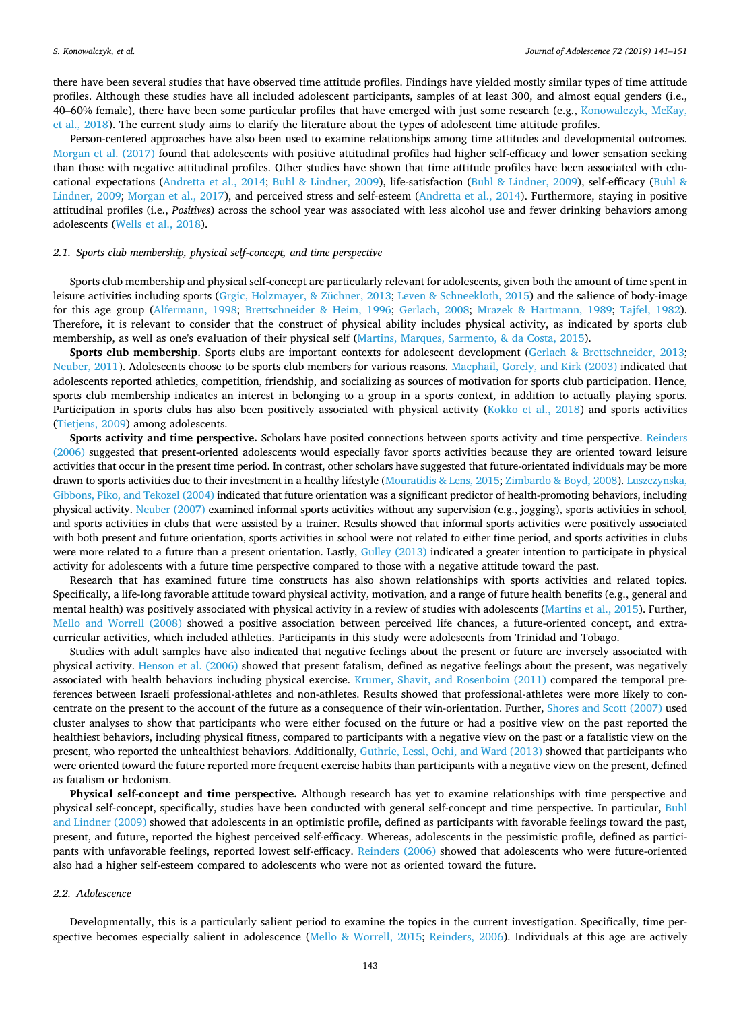there have been several studies that have observed time attitude profiles. Findings have yielded mostly similar types of time attitude profiles. Although these studies have all included adolescent participants, samples of at least 300, and almost equal genders (i.e., 40–60% female), there have been some particular profiles that have emerged with just some research (e.g., [Konowalczyk, McKay,](#page-9-11) [et al., 2018\)](#page-9-11). The current study aims to clarify the literature about the types of adolescent time attitude profiles.

Person-centered approaches have also been used to examine relationships among time attitudes and developmental outcomes. [Morgan et al. \(2017\)](#page-10-3) found that adolescents with positive attitudinal profiles had higher self-efficacy and lower sensation seeking than those with negative attitudinal profiles. Other studies have shown that time attitude profiles have been associated with educational expectations [\(Andretta et al., 2014](#page-8-0); [Buhl & Lindner, 2009](#page-9-17)), life-satisfaction [\(Buhl & Lindner, 2009](#page-9-17)), self-efficacy [\(Buhl &](#page-9-17) [Lindner, 2009](#page-9-17); [Morgan et al., 2017\)](#page-10-3), and perceived stress and self-esteem [\(Andretta et al., 2014\)](#page-8-0). Furthermore, staying in positive attitudinal profiles (i.e., *Positives*) across the school year was associated with less alcohol use and fewer drinking behaviors among adolescents ([Wells et al., 2018\)](#page-10-4).

# *2.1. Sports club membership, physical self-concept, and time perspective*

Sports club membership and physical self-concept are particularly relevant for adolescents, given both the amount of time spent in leisure activities including sports [\(Grgic, Holzmayer, & Züchner, 2013;](#page-9-18) [Leven & Schneekloth, 2015](#page-9-19)) and the salience of body-image for this age group ([Alfermann, 1998](#page-8-3); [Brettschneider & Heim, 1996;](#page-8-4) [Gerlach, 2008;](#page-9-20) [Mrazek & Hartmann, 1989;](#page-10-5) [Tajfel, 1982](#page-10-6)). Therefore, it is relevant to consider that the construct of physical ability includes physical activity, as indicated by sports club membership, as well as one's evaluation of their physical self ([Martins, Marques, Sarmento, & da Costa, 2015\)](#page-9-21).

**Sports club membership.** Sports clubs are important contexts for adolescent development ([Gerlach & Brettschneider, 2013](#page-9-22); [Neuber, 2011](#page-10-7)). Adolescents choose to be sports club members for various reasons. [Macphail, Gorely, and Kirk \(2003\)](#page-9-23) indicated that adolescents reported athletics, competition, friendship, and socializing as sources of motivation for sports club participation. Hence, sports club membership indicates an interest in belonging to a group in a sports context, in addition to actually playing sports. Participation in sports clubs has also been positively associated with physical activity [\(Kokko et al., 2018](#page-9-24)) and sports activities [\(Tietjens, 2009\)](#page-10-8) among adolescents.

**Sports activity and time perspective.** Scholars have posited connections between sports activity and time perspective. [Reinders](#page-10-9) [\(2006\)](#page-10-9) suggested that present-oriented adolescents would especially favor sports activities because they are oriented toward leisure activities that occur in the present time period. In contrast, other scholars have suggested that future-orientated individuals may be more drawn to sports activities due to their investment in a healthy lifestyle [\(Mouratidis & Lens, 2015](#page-10-10); [Zimbardo & Boyd, 2008\)](#page-10-11). [Luszczynska,](#page-9-25) [Gibbons, Piko, and Tekozel \(2004\)](#page-9-25) indicated that future orientation was a significant predictor of health-promoting behaviors, including physical activity. [Neuber \(2007\)](#page-10-12) examined informal sports activities without any supervision (e.g., jogging), sports activities in school, and sports activities in clubs that were assisted by a trainer. Results showed that informal sports activities were positively associated with both present and future orientation, sports activities in school were not related to either time period, and sports activities in clubs were more related to a future than a present orientation. Lastly, [Gulley \(2013\)](#page-9-12) indicated a greater intention to participate in physical activity for adolescents with a future time perspective compared to those with a negative attitude toward the past.

Research that has examined future time constructs has also shown relationships with sports activities and related topics. Specifically, a life-long favorable attitude toward physical activity, motivation, and a range of future health benefits (e.g., general and mental health) was positively associated with physical activity in a review of studies with adolescents ([Martins et al., 2015](#page-9-21)). Further, [Mello and Worrell \(2008\)](#page-9-26) showed a positive association between perceived life chances, a future-oriented concept, and extracurricular activities, which included athletics. Participants in this study were adolescents from Trinidad and Tobago.

Studies with adult samples have also indicated that negative feelings about the present or future are inversely associated with physical activity. [Henson et al. \(2006\)](#page-9-13) showed that present fatalism, defined as negative feelings about the present, was negatively associated with health behaviors including physical exercise. [Krumer, Shavit, and Rosenboim \(2011\)](#page-9-27) compared the temporal preferences between Israeli professional-athletes and non-athletes. Results showed that professional-athletes were more likely to concentrate on the present to the account of the future as a consequence of their win-orientation. Further, [Shores and Scott \(2007\)](#page-10-13) used cluster analyses to show that participants who were either focused on the future or had a positive view on the past reported the healthiest behaviors, including physical fitness, compared to participants with a negative view on the past or a fatalistic view on the present, who reported the unhealthiest behaviors. Additionally, [Guthrie, Lessl, Ochi, and Ward \(2013\)](#page-9-28) showed that participants who were oriented toward the future reported more frequent exercise habits than participants with a negative view on the present, defined as fatalism or hedonism.

**Physical self-concept and time perspective.** Although research has yet to examine relationships with time perspective and physical self-concept, specifically, studies have been conducted with general self-concept and time perspective. In particular, [Buhl](#page-9-17) [and Lindner \(2009\)](#page-9-17) showed that adolescents in an optimistic profile, defined as participants with favorable feelings toward the past, present, and future, reported the highest perceived self-efficacy. Whereas, adolescents in the pessimistic profile, defined as participants with unfavorable feelings, reported lowest self-efficacy. [Reinders \(2006\)](#page-10-9) showed that adolescents who were future-oriented also had a higher self-esteem compared to adolescents who were not as oriented toward the future.

# *2.2. Adolescence*

Developmentally, this is a particularly salient period to examine the topics in the current investigation. Specifically, time perspective becomes especially salient in adolescence ([Mello & Worrell, 2015](#page-9-3); [Reinders, 2006](#page-10-9)). Individuals at this age are actively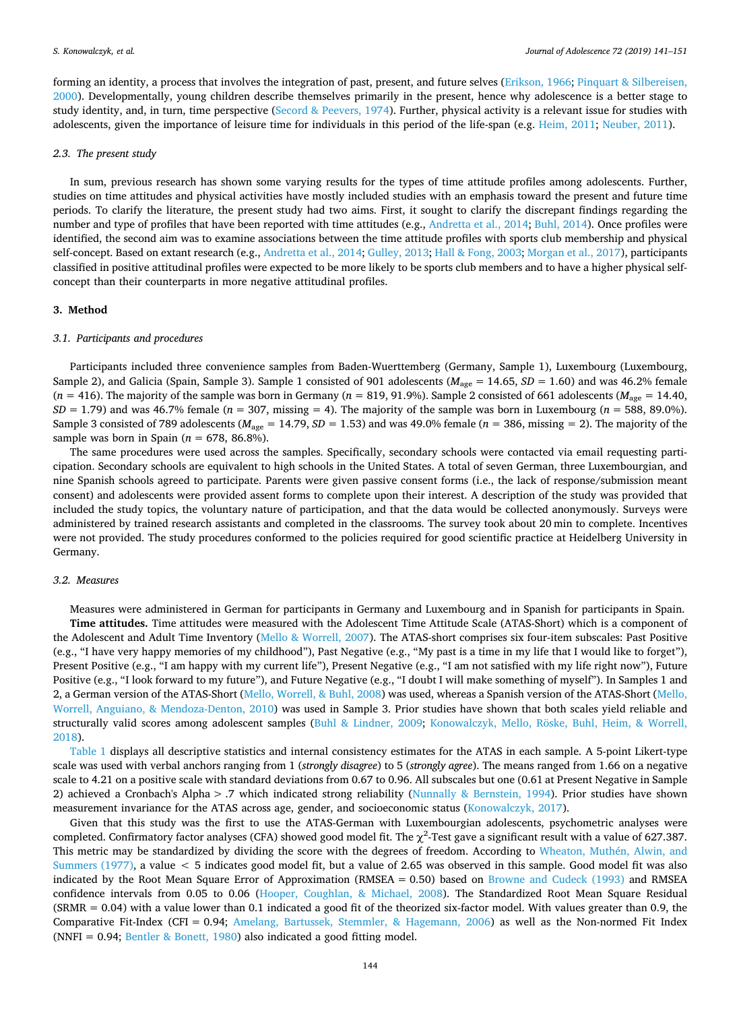forming an identity, a process that involves the integration of past, present, and future selves [\(Erikson, 1966;](#page-9-4) [Pinquart & Silbereisen,](#page-10-2) [2000\)](#page-10-2). Developmentally, young children describe themselves primarily in the present, hence why adolescence is a better stage to study identity, and, in turn, time perspective ([Secord & Peevers, 1974](#page-10-14)). Further, physical activity is a relevant issue for studies with adolescents, given the importance of leisure time for individuals in this period of the life-span (e.g. [Heim, 2011;](#page-9-29) [Neuber, 2011](#page-10-7)).

#### *2.3. The present study*

In sum, previous research has shown some varying results for the types of time attitude profiles among adolescents. Further, studies on time attitudes and physical activities have mostly included studies with an emphasis toward the present and future time periods. To clarify the literature, the present study had two aims. First, it sought to clarify the discrepant findings regarding the number and type of profiles that have been reported with time attitudes (e.g., [Andretta et al., 2014](#page-8-0); [Buhl, 2014\)](#page-8-2). Once profiles were identified, the second aim was to examine associations between the time attitude profiles with sports club membership and physical self-concept. Based on extant research (e.g., [Andretta et al., 2014](#page-8-0); [Gulley, 2013](#page-9-12); [Hall & Fong, 2003](#page-9-14); [Morgan et al., 2017](#page-10-3)), participants classified in positive attitudinal profiles were expected to be more likely to be sports club members and to have a higher physical selfconcept than their counterparts in more negative attitudinal profiles.

# **3. Method**

#### *3.1. Participants and procedures*

Participants included three convenience samples from Baden-Wuerttemberg (Germany, Sample 1), Luxembourg (Luxembourg, Sample 2), and Galicia (Spain, Sample 3). Sample 1 consisted of 901 adolescents ( $M_{\text{age}} = 14.65$ ,  $SD = 1.60$ ) and was 46.2% female  $(n = 416)$ . The majority of the sample was born in Germany  $(n = 819, 91.9\%)$ . Sample 2 consisted of 661 adolescents  $(M<sub>ave</sub> = 14.40)$ ,  $SD = 1.79$ ) and was 46.7% female ( $n = 307$ , missing = 4). The majority of the sample was born in Luxembourg ( $n = 588$ , 89.0%). Sample 3 consisted of 789 adolescents ( $M_{\text{age}} = 14.79$ ,  $SD = 1.53$ ) and was 49.0% female ( $n = 386$ , missing = 2). The majority of the sample was born in Spain (*n* = 678, 86.8%).

The same procedures were used across the samples. Specifically, secondary schools were contacted via email requesting participation. Secondary schools are equivalent to high schools in the United States. A total of seven German, three Luxembourgian, and nine Spanish schools agreed to participate. Parents were given passive consent forms (i.e., the lack of response/submission meant consent) and adolescents were provided assent forms to complete upon their interest. A description of the study was provided that included the study topics, the voluntary nature of participation, and that the data would be collected anonymously. Surveys were administered by trained research assistants and completed in the classrooms. The survey took about 20 min to complete. Incentives were not provided. The study procedures conformed to the policies required for good scientific practice at Heidelberg University in Germany.

### *3.2. Measures*

Measures were administered in German for participants in Germany and Luxembourg and in Spanish for participants in Spain. **Time attitudes.** Time attitudes were measured with the Adolescent Time Attitude Scale (ATAS-Short) which is a component of the Adolescent and Adult Time Inventory ([Mello & Worrell, 2007\)](#page-9-30). The ATAS-short comprises six four-item subscales: Past Positive (e.g., "I have very happy memories of my childhood"), Past Negative (e.g., "My past is a time in my life that I would like to forget"), Present Positive (e.g., "I am happy with my current life"), Present Negative (e.g., "I am not satisfied with my life right now"), Future Positive (e.g., "I look forward to my future"), and Future Negative (e.g., "I doubt I will make something of myself"). In Samples 1 and 2, a German version of the ATAS-Short [\(Mello, Worrell, & Buhl, 2008](#page-9-31)) was used, whereas a Spanish version of the ATAS-Short [\(Mello,](#page-9-32) [Worrell, Anguiano, & Mendoza-Denton, 2010](#page-9-32)) was used in Sample 3. Prior studies have shown that both scales yield reliable and structurally valid scores among adolescent samples [\(Buhl & Lindner, 2009;](#page-9-17) [Konowalczyk, Mello, Röske, Buhl, Heim, & Worrell,](#page-9-33) [2018\)](#page-9-33).

[Table 1](#page-4-0) displays all descriptive statistics and internal consistency estimates for the ATAS in each sample. A 5-point Likert-type scale was used with verbal anchors ranging from 1 (*strongly disagree*) to 5 (*strongly agree*). The means ranged from 1.66 on a negative scale to 4.21 on a positive scale with standard deviations from 0.67 to 0.96. All subscales but one (0.61 at Present Negative in Sample 2) achieved a Cronbach's Alpha > .7 which indicated strong reliability [\(Nunnally & Bernstein, 1994\)](#page-10-15). Prior studies have shown measurement invariance for the ATAS across age, gender, and socioeconomic status ([Konowalczyk, 2017](#page-9-8)).

Given that this study was the first to use the ATAS-German with Luxembourgian adolescents, psychometric analyses were completed. Confirmatory factor analyses (CFA) showed good model fit. The  $\chi^2$ -Test gave a significant result with a value of 627.387. This metric may be standardized by dividing the score with the degrees of freedom. According to [Wheaton, Muthén, Alwin, and](#page-10-16) [Summers \(1977\)](#page-10-16), a value < 5 indicates good model fit, but a value of 2.65 was observed in this sample. Good model fit was also indicated by the Root Mean Square Error of Approximation (RMSEA = 0.50) based on [Browne and Cudeck \(1993\)](#page-8-5) and RMSEA confidence intervals from 0.05 to 0.06 ([Hooper, Coughlan, & Michael, 2008](#page-9-34)). The Standardized Root Mean Square Residual (SRMR = 0.04) with a value lower than 0.1 indicated a good fit of the theorized six-factor model. With values greater than 0.9, the Comparative Fit-Index (CFI = 0.94; [Amelang, Bartussek, Stemmler, & Hagemann, 2006](#page-8-6)) as well as the Non-normed Fit Index (NNFI =  $0.94$ ; [Bentler & Bonett, 1980](#page-8-7)) also indicated a good fitting model.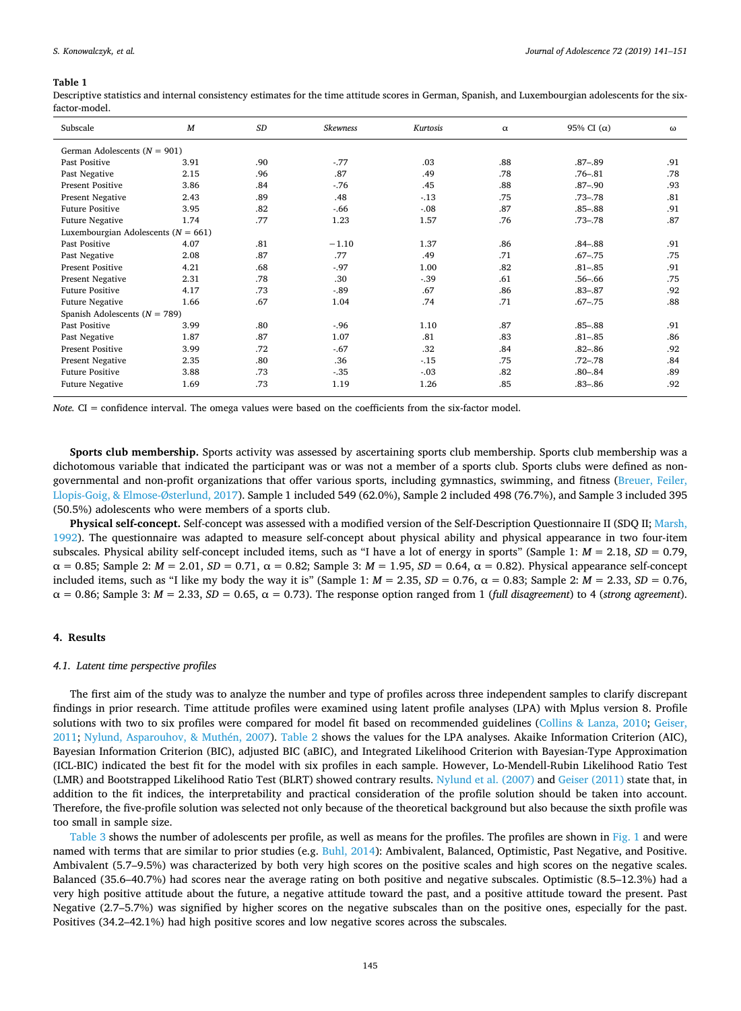#### <span id="page-4-0"></span>**Table 1**

Descriptive statistics and internal consistency estimates for the time attitude scores in German, Spanish, and Luxembourgian adolescents for the sixfactor-model.

| Subscale                                | $\boldsymbol{M}$ | SD  | <b>Skewness</b> | Kurtosis | $\alpha$ | 95% CI $(\alpha)$ | $\omega$ |
|-----------------------------------------|------------------|-----|-----------------|----------|----------|-------------------|----------|
| German Adolescents ( $N = 901$ )        |                  |     |                 |          |          |                   |          |
| Past Positive                           | 3.91             | .90 | $-77$           | .03      | .88      | $.87 - .89$       | .91      |
| Past Negative                           | 2.15             | .96 | .87             | .49      | .78      | $.76 - .81$       | .78      |
| <b>Present Positive</b>                 | 3.86             | .84 | $-76$           | .45      | .88      | $.87 - .90$       | .93      |
| Present Negative                        | 2.43             | .89 | .48             | $-13$    | .75      | $.73 - .78$       | .81      |
| <b>Future Positive</b>                  | 3.95             | .82 | $-66$           | $-.08$   | .87      | $.85 - .88$       | .91      |
| <b>Future Negative</b>                  | 1.74             | .77 | 1.23            | 1.57     | .76      | $.73 - .78$       | .87      |
| Luxembourgian Adolescents ( $N = 661$ ) |                  |     |                 |          |          |                   |          |
| Past Positive                           | 4.07             | .81 | $-1.10$         | 1.37     | .86      | $.84 - .88$       | .91      |
| Past Negative                           | 2.08             | .87 | .77             | .49      | .71      | $.67 - .75$       | .75      |
| <b>Present Positive</b>                 | 4.21             | .68 | $-97$           | 1.00     | .82      | $.81 - .85$       | .91      |
| Present Negative                        | 2.31             | .78 | .30             | $-.39$   | .61      | $.56 - .66$       | .75      |
| <b>Future Positive</b>                  | 4.17             | .73 | $-89$           | .67      | .86      | $.83 - .87$       | .92      |
| <b>Future Negative</b>                  | 1.66             | .67 | 1.04            | .74      | .71      | $.67 - .75$       | .88      |
| Spanish Adolescents ( $N = 789$ )       |                  |     |                 |          |          |                   |          |
| Past Positive                           | 3.99             | .80 | $-96$           | 1.10     | .87      | $.85 - .88$       | .91      |
| Past Negative                           | 1.87             | .87 | 1.07            | .81      | .83      | $.81 - .85$       | .86      |
| <b>Present Positive</b>                 | 3.99             | .72 | $-67$           | .32      | .84      | $.82 - .86$       | .92      |
| Present Negative                        | 2.35             | .80 | .36             | $-.15$   | .75      | $.72 - .78$       | .84      |
| <b>Future Positive</b>                  | 3.88             | .73 | $-35$           | $-.03$   | .82      | $.80 - .84$       | .89      |
| <b>Future Negative</b>                  | 1.69             | .73 | 1.19            | 1.26     | .85      | $.83 - .86$       | .92      |

*Note.* CI = confidence interval. The omega values were based on the coefficients from the six-factor model.

**Sports club membership.** Sports activity was assessed by ascertaining sports club membership. Sports club membership was a dichotomous variable that indicated the participant was or was not a member of a sports club. Sports clubs were defined as nongovernmental and non-profit organizations that offer various sports, including gymnastics, swimming, and fitness [\(Breuer, Feiler,](#page-8-8) [Llopis-Goig, & Elmose-Østerlund, 2017\)](#page-8-8). Sample 1 included 549 (62.0%), Sample 2 included 498 (76.7%), and Sample 3 included 395 (50.5%) adolescents who were members of a sports club.

**Physical self-concept.** Self-concept was assessed with a modified version of the Self-Description Questionnaire II (SDQ II; [Marsh,](#page-9-35) [1992\)](#page-9-35). The questionnaire was adapted to measure self-concept about physical ability and physical appearance in two four-item subscales. Physical ability self-concept included items, such as "I have a lot of energy in sports" (Sample 1: *M* = 2.18, *SD* = 0.79,  $\alpha = 0.85$ ; Sample 2:  $M = 2.01$ ,  $SD = 0.71$ ,  $\alpha = 0.82$ ; Sample 3:  $M = 1.95$ ,  $SD = 0.64$ ,  $\alpha = 0.82$ ). Physical appearance self-concept included items, such as "I like my body the way it is" (Sample 1:  $M = 2.35$ ,  $SD = 0.76$ ,  $α = 0.83$ ; Sample 2:  $M = 2.33$ ,  $SD = 0.76$ ,  $\alpha = 0.86$ ; Sample 3:  $M = 2.33$ ,  $SD = 0.65$ ,  $\alpha = 0.73$ ). The response option ranged from 1 (full disagreement) to 4 (*strong agreement*).

#### **4. Results**

#### *4.1. Latent time perspective profiles*

The first aim of the study was to analyze the number and type of profiles across three independent samples to clarify discrepant findings in prior research. Time attitude profiles were examined using latent profile analyses (LPA) with Mplus version 8. Profile solutions with two to six profiles were compared for model fit based on recommended guidelines [\(Collins & Lanza, 2010;](#page-9-36) [Geiser,](#page-9-37) [2011;](#page-9-37) [Nylund, Asparouhov, & Muthén, 2007\)](#page-10-17). [Table 2](#page-5-0) shows the values for the LPA analyses. Akaike Information Criterion (AIC), Bayesian Information Criterion (BIC), adjusted BIC (aBIC), and Integrated Likelihood Criterion with Bayesian-Type Approximation (ICL-BIC) indicated the best fit for the model with six profiles in each sample. However, Lo-Mendell-Rubin Likelihood Ratio Test (LMR) and Bootstrapped Likelihood Ratio Test (BLRT) showed contrary results. [Nylund et al. \(2007\)](#page-10-17) and [Geiser \(2011\)](#page-9-37) state that, in addition to the fit indices, the interpretability and practical consideration of the profile solution should be taken into account. Therefore, the five-profile solution was selected not only because of the theoretical background but also because the sixth profile was too small in sample size.

[Table 3](#page-5-1) shows the number of adolescents per profile, as well as means for the profiles. The profiles are shown in [Fig. 1](#page-6-0) and were named with terms that are similar to prior studies (e.g. [Buhl, 2014\)](#page-8-2): Ambivalent, Balanced, Optimistic, Past Negative, and Positive. Ambivalent (5.7–9.5%) was characterized by both very high scores on the positive scales and high scores on the negative scales. Balanced (35.6–40.7%) had scores near the average rating on both positive and negative subscales. Optimistic (8.5–12.3%) had a very high positive attitude about the future, a negative attitude toward the past, and a positive attitude toward the present. Past Negative (2.7–5.7%) was signified by higher scores on the negative subscales than on the positive ones, especially for the past. Positives (34.2–42.1%) had high positive scores and low negative scores across the subscales.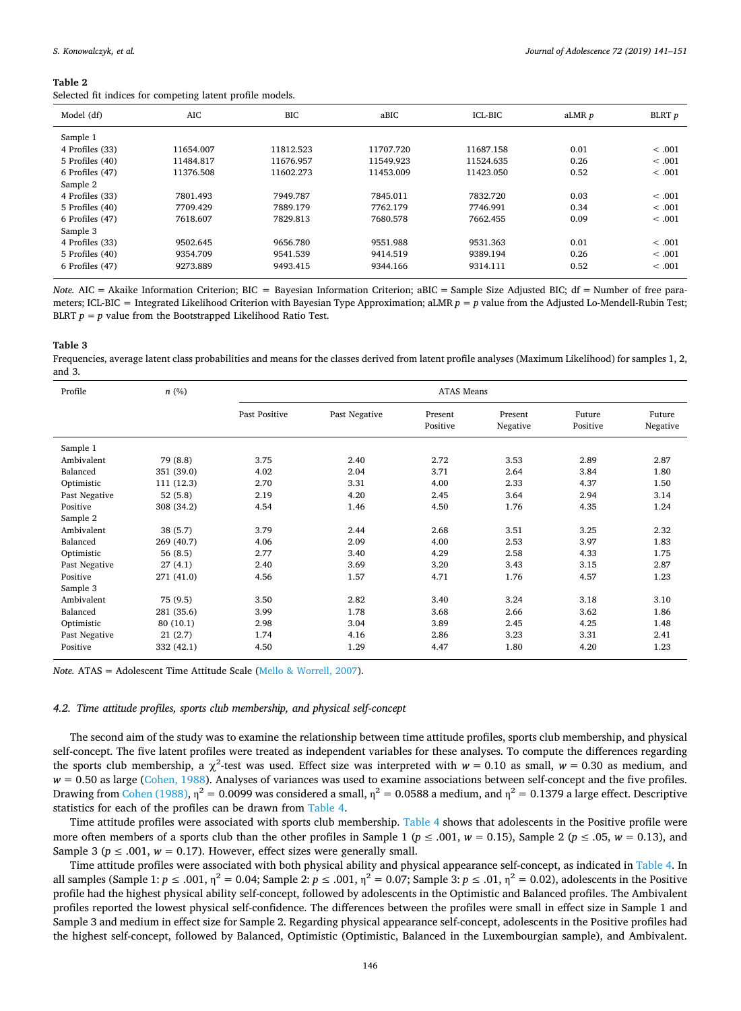<span id="page-5-0"></span>Selected fit indices for competing latent profile models.

| Model (df)      | AIC       | <b>BIC</b> | aBIC      | ICL-BIC   | aLMR <i>p</i> | BLRT p  |
|-----------------|-----------|------------|-----------|-----------|---------------|---------|
| Sample 1        |           |            |           |           |               |         |
| 4 Profiles (33) | 11654.007 | 11812.523  | 11707.720 | 11687.158 | 0.01          | < .001  |
| 5 Profiles (40) | 11484.817 | 11676.957  | 11549.923 | 11524.635 | 0.26          | < 0.001 |
| 6 Profiles (47) | 11376.508 | 11602.273  | 11453.009 | 11423.050 | 0.52          | < .001  |
| Sample 2        |           |            |           |           |               |         |
| 4 Profiles (33) | 7801.493  | 7949.787   | 7845.011  | 7832.720  | 0.03          | < .001  |
| 5 Profiles (40) | 7709.429  | 7889.179   | 7762.179  | 7746.991  | 0.34          | < 0.001 |
| 6 Profiles (47) | 7618.607  | 7829.813   | 7680.578  | 7662.455  | 0.09          | < .001  |
| Sample 3        |           |            |           |           |               |         |
| 4 Profiles (33) | 9502.645  | 9656.780   | 9551.988  | 9531.363  | 0.01          | < 0.001 |
| 5 Profiles (40) | 9354.709  | 9541.539   | 9414.519  | 9389.194  | 0.26          | < 0.001 |
| 6 Profiles (47) | 9273.889  | 9493.415   | 9344.166  | 9314.111  | 0.52          | < .001  |
|                 |           |            |           |           |               |         |

*Note.* AIC = Akaike Information Criterion; BIC = Bayesian Information Criterion; aBIC = Sample Size Adjusted BIC; df = Number of free parameters; ICL-BIC = Integrated Likelihood Criterion with Bayesian Type Approximation; aLMR *p* = *p* value from the Adjusted Lo-Mendell-Rubin Test; BLRT  $p = p$  value from the Bootstrapped Likelihood Ratio Test.

#### <span id="page-5-1"></span>**Table 3**

Frequencies, average latent class probabilities and means for the classes derived from latent profile analyses (Maximum Likelihood) for samples 1, 2, and 3.

| Profile       | n(%)       | <b>ATAS Means</b> |               |                     |                     |                    |                    |
|---------------|------------|-------------------|---------------|---------------------|---------------------|--------------------|--------------------|
|               |            | Past Positive     | Past Negative | Present<br>Positive | Present<br>Negative | Future<br>Positive | Future<br>Negative |
| Sample 1      |            |                   |               |                     |                     |                    |                    |
| Ambivalent    | 79 (8.8)   | 3.75              | 2.40          | 2.72                | 3.53                | 2.89               | 2.87               |
| Balanced      | 351 (39.0) | 4.02              | 2.04          | 3.71                | 2.64                | 3.84               | 1.80               |
| Optimistic    | 111 (12.3) | 2.70              | 3.31          | 4.00                | 2.33                | 4.37               | 1.50               |
| Past Negative | 52(5.8)    | 2.19              | 4.20          | 2.45                | 3.64                | 2.94               | 3.14               |
| Positive      | 308 (34.2) | 4.54              | 1.46          | 4.50                | 1.76                | 4.35               | 1.24               |
| Sample 2      |            |                   |               |                     |                     |                    |                    |
| Ambivalent    | 38(5.7)    | 3.79              | 2.44          | 2.68                | 3.51                | 3.25               | 2.32               |
| Balanced      | 269 (40.7) | 4.06              | 2.09          | 4.00                | 2.53                | 3.97               | 1.83               |
| Optimistic    | 56(8.5)    | 2.77              | 3.40          | 4.29                | 2.58                | 4.33               | 1.75               |
| Past Negative | 27(4.1)    | 2.40              | 3.69          | 3.20                | 3.43                | 3.15               | 2.87               |
| Positive      | 271 (41.0) | 4.56              | 1.57          | 4.71                | 1.76                | 4.57               | 1.23               |
| Sample 3      |            |                   |               |                     |                     |                    |                    |
| Ambivalent    | 75 (9.5)   | 3.50              | 2.82          | 3.40                | 3.24                | 3.18               | 3.10               |
| Balanced      | 281 (35.6) | 3.99              | 1.78          | 3.68                | 2.66                | 3.62               | 1.86               |
| Optimistic    | 80 (10.1)  | 2.98              | 3.04          | 3.89                | 2.45                | 4.25               | 1.48               |
| Past Negative | 21(2.7)    | 1.74              | 4.16          | 2.86                | 3.23                | 3.31               | 2.41               |
| Positive      | 332 (42.1) | 4.50              | 1.29          | 4.47                | 1.80                | 4.20               | 1.23               |

*Note.* ATAS = Adolescent Time Attitude Scale [\(Mello & Worrell, 2007\)](#page-9-30).

## *4.2. Time attitude profiles, sports club membership, and physical self-concept*

The second aim of the study was to examine the relationship between time attitude profiles, sports club membership, and physical self-concept. The five latent profiles were treated as independent variables for these analyses. To compute the differences regarding the sports club membership, a  $\chi^2$ -test was used. Effect size was interpreted with  $w = 0.10$  as small,  $w = 0.30$  as medium, and *w* = 0.50 as large [\(Cohen, 1988\)](#page-9-38). Analyses of variances was used to examine associations between self-concept and the five profiles. Drawing from [Cohen \(1988\)](#page-9-38),  $\eta^2 = 0.0099$  was considered a small,  $\eta^2 = 0.0588$  a medium, and  $\eta^2 = 0.1379$  a large effect. Descriptive statistics for each of the profiles can be drawn from [Table 4](#page-7-0).

Time attitude profiles were associated with sports club membership. [Table 4](#page-7-0) shows that adolescents in the Positive profile were more often members of a sports club than the other profiles in Sample 1 ( $p \le 0.001$ ,  $w = 0.15$ ), Sample 2 ( $p \le 0.05$ ,  $w = 0.13$ ), and Sample 3 ( $p \le 0.001$ ,  $w = 0.17$ ). However, effect sizes were generally small.

Time attitude profiles were associated with both physical ability and physical appearance self-concept, as indicated in [Table 4.](#page-7-0) In all samples (Sample 1:  $p \le 0.01$ ,  $\eta^2 = 0.04$ ; Sample 2:  $p \le 0.01$ ,  $\eta^2 = 0.07$ ; Sample 3:  $p \le 0.01$ ,  $\eta^2 = 0.02$ ), adolescents in the Positive profile had the highest physical ability self-concept, followed by adolescents in the Optimistic and Balanced profiles. The Ambivalent profiles reported the lowest physical self-confidence. The differences between the profiles were small in effect size in Sample 1 and Sample 3 and medium in effect size for Sample 2. Regarding physical appearance self-concept, adolescents in the Positive profiles had the highest self-concept, followed by Balanced, Optimistic (Optimistic, Balanced in the Luxembourgian sample), and Ambivalent.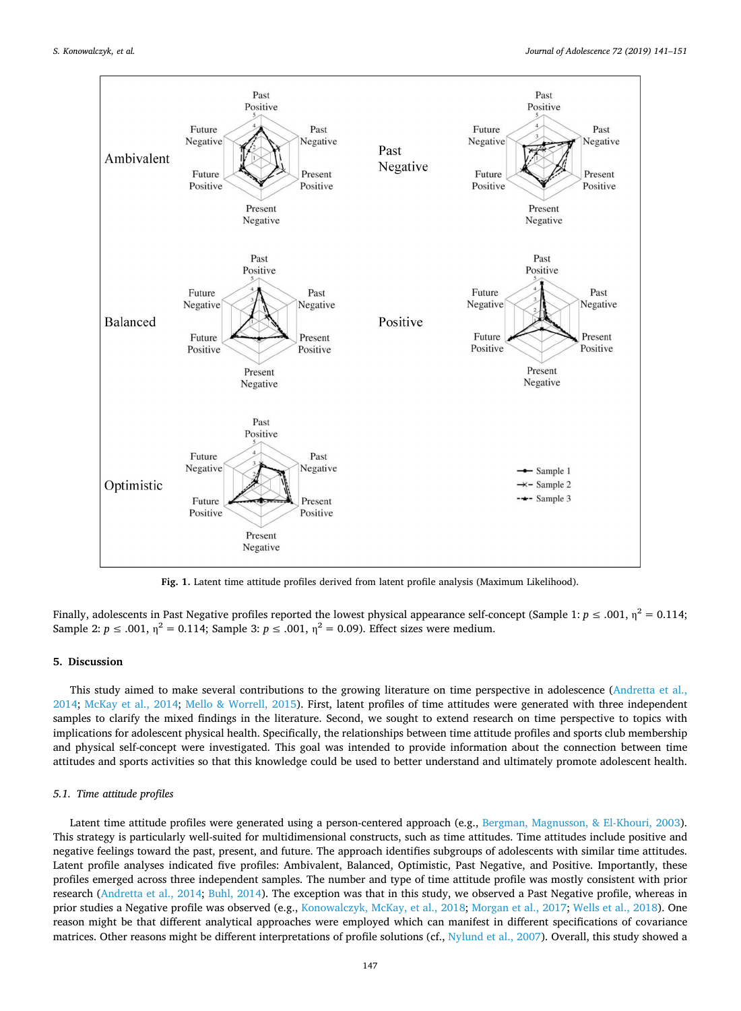<span id="page-6-0"></span>

**Fig. 1.** Latent time attitude profiles derived from latent profile analysis (Maximum Likelihood).

Finally, adolescents in Past Negative profiles reported the lowest physical appearance self-concept (Sample 1:  $p \le 0.001$ ,  $n^2 = 0.114$ ; Sample 2:  $p \le 0.001$ ,  $n^2 = 0.114$ ; Sample 3:  $p \le 0.001$ ,  $n^2 = 0.09$ ). Effect sizes were medium.

# **5. Discussion**

This study aimed to make several contributions to the growing literature on time perspective in adolescence ([Andretta et al.,](#page-8-0) [2014;](#page-8-0) [McKay et al., 2014](#page-9-15); [Mello & Worrell, 2015\)](#page-9-3). First, latent profiles of time attitudes were generated with three independent samples to clarify the mixed findings in the literature. Second, we sought to extend research on time perspective to topics with implications for adolescent physical health. Specifically, the relationships between time attitude profiles and sports club membership and physical self-concept were investigated. This goal was intended to provide information about the connection between time attitudes and sports activities so that this knowledge could be used to better understand and ultimately promote adolescent health.

# *5.1. Time attitude profiles*

Latent time attitude profiles were generated using a person-centered approach (e.g., [Bergman, Magnusson, & El-Khouri, 2003](#page-8-9)). This strategy is particularly well-suited for multidimensional constructs, such as time attitudes. Time attitudes include positive and negative feelings toward the past, present, and future. The approach identifies subgroups of adolescents with similar time attitudes. Latent profile analyses indicated five profiles: Ambivalent, Balanced, Optimistic, Past Negative, and Positive. Importantly, these profiles emerged across three independent samples. The number and type of time attitude profile was mostly consistent with prior research [\(Andretta et al., 2014](#page-8-0); [Buhl, 2014](#page-8-2)). The exception was that in this study, we observed a Past Negative profile, whereas in prior studies a Negative profile was observed (e.g., [Konowalczyk, McKay, et al., 2018](#page-9-11); [Morgan et al., 2017;](#page-10-3) [Wells et al., 2018](#page-10-4)). One reason might be that different analytical approaches were employed which can manifest in different specifications of covariance matrices. Other reasons might be different interpretations of profile solutions (cf., [Nylund et al., 2007\)](#page-10-17). Overall, this study showed a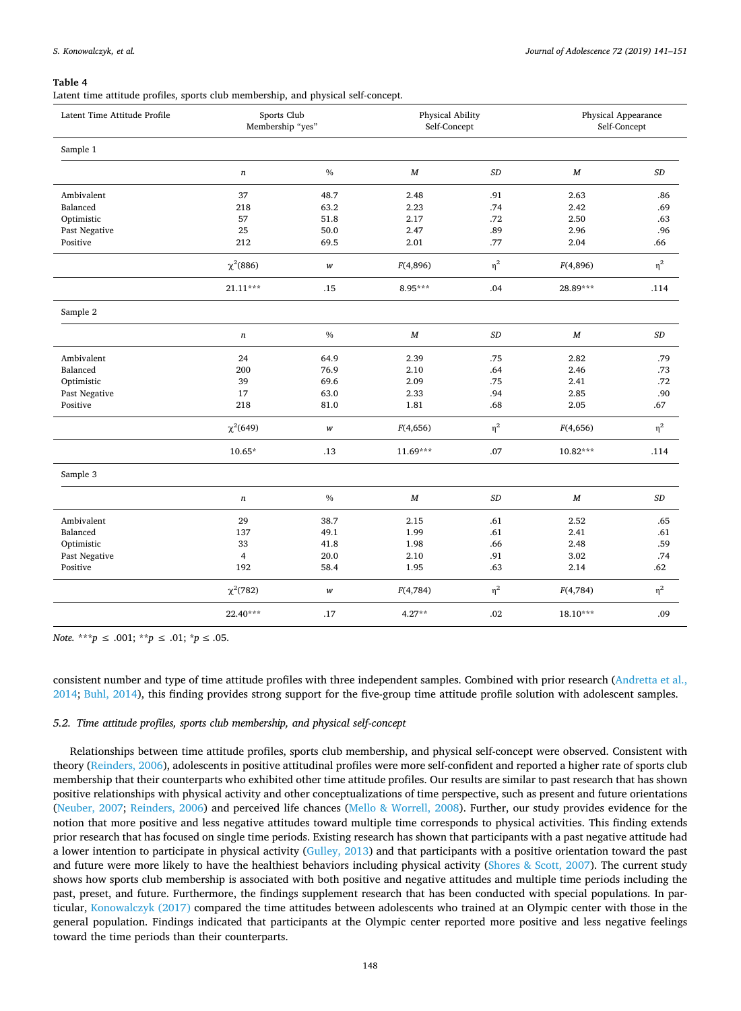### <span id="page-7-0"></span>**Table 4**

Latent time attitude profiles, sports club membership, and physical self-concept.

| Latent Time Attitude Profile | Sports Club<br>Membership "yes" |      |                  | Physical Ability<br>Self-Concept |                  | Physical Appearance<br>Self-Concept |  |
|------------------------------|---------------------------------|------|------------------|----------------------------------|------------------|-------------------------------------|--|
| Sample 1                     |                                 |      |                  |                                  |                  |                                     |  |
|                              | $\boldsymbol{n}$                | $\%$ | $\boldsymbol{M}$ | $\cal SD$                        | $\boldsymbol{M}$ | $\cal SD$                           |  |
| Ambivalent                   | 37                              | 48.7 | 2.48             | .91                              | 2.63             | .86                                 |  |
| Balanced                     | 218                             | 63.2 | 2.23             | .74                              | 2.42             | .69                                 |  |
| Optimistic                   | 57                              | 51.8 | 2.17             | .72                              | 2.50             | .63                                 |  |
| Past Negative                | 25                              | 50.0 | 2.47             | .89                              | 2.96             | .96                                 |  |
| Positive                     | 212                             | 69.5 | 2.01             | .77                              | 2.04             | .66                                 |  |
|                              | $\chi^2(886)$                   | w    | F(4,896)         | $\eta^2$                         | F(4,896)         | $\eta^2$                            |  |
|                              | $21.11***$                      | .15  | $8.95***$        | .04                              | 28.89***         | .114                                |  |
| Sample 2                     |                                 |      |                  |                                  |                  |                                     |  |
|                              | $\boldsymbol{n}$                | $\%$ | $\boldsymbol{M}$ | $\cal SD$                        | $\boldsymbol{M}$ | $\cal SD$                           |  |
| Ambivalent                   | 24                              | 64.9 | 2.39             | .75                              | 2.82             | .79                                 |  |
| Balanced                     | 200                             | 76.9 | 2.10             | .64                              | 2.46             | .73                                 |  |
| Optimistic                   | 39                              | 69.6 | 2.09             | .75                              | 2.41             | .72                                 |  |
| Past Negative                | 17                              | 63.0 | 2.33             | .94                              | 2.85             | .90                                 |  |
| Positive                     | 218                             | 81.0 | 1.81             | .68                              | 2.05             | .67                                 |  |
|                              | $\chi^2(649)$                   | w    | F(4,656)         | $\eta^2$                         | F(4,656)         | $\eta^2$                            |  |
|                              | $10.65*$                        | .13  | $11.69***$       | .07                              | $10.82***$       | .114                                |  |
| Sample 3                     |                                 |      |                  |                                  |                  |                                     |  |
|                              | $\boldsymbol{n}$                | $\%$ | $\boldsymbol{M}$ | $\cal SD$                        | $\boldsymbol{M}$ | $\cal SD$                           |  |
| Ambivalent                   | 29                              | 38.7 | 2.15             | .61                              | 2.52             | .65                                 |  |
| Balanced                     | 137                             | 49.1 | 1.99             | .61                              | 2.41             | .61                                 |  |
| Optimistic                   | 33                              | 41.8 | 1.98             | .66                              | 2.48             | .59                                 |  |
| Past Negative                | $\overline{4}$                  | 20.0 | 2.10             | .91                              | 3.02             | .74                                 |  |
| Positive                     | 192                             | 58.4 | 1.95             | .63                              | 2.14             | .62                                 |  |
|                              | χ <sup>2</sup> (782)            | w    | F(4,784)         | $\eta^2$                         | F(4,784)         | $\eta^2$                            |  |
|                              | 22.40***                        | .17  | $4.27**$         | .02                              | $18.10***$       | .09                                 |  |

*Note.* \*\*\**p* ≤ .001; \*\**p* ≤ .01; \**p* ≤ .05.

consistent number and type of time attitude profiles with three independent samples. Combined with prior research [\(Andretta et al.,](#page-8-0) [2014;](#page-8-0) [Buhl, 2014\)](#page-8-2), this finding provides strong support for the five-group time attitude profile solution with adolescent samples.

# *5.2. Time attitude profiles, sports club membership, and physical self-concept*

Relationships between time attitude profiles, sports club membership, and physical self-concept were observed. Consistent with theory ([Reinders, 2006\)](#page-10-9), adolescents in positive attitudinal profiles were more self-confident and reported a higher rate of sports club membership that their counterparts who exhibited other time attitude profiles. Our results are similar to past research that has shown positive relationships with physical activity and other conceptualizations of time perspective, such as present and future orientations [\(Neuber, 2007;](#page-10-12) [Reinders, 2006\)](#page-10-9) and perceived life chances [\(Mello & Worrell, 2008](#page-9-26)). Further, our study provides evidence for the notion that more positive and less negative attitudes toward multiple time corresponds to physical activities. This finding extends prior research that has focused on single time periods. Existing research has shown that participants with a past negative attitude had a lower intention to participate in physical activity [\(Gulley, 2013](#page-9-12)) and that participants with a positive orientation toward the past and future were more likely to have the healthiest behaviors including physical activity ([Shores & Scott, 2007\)](#page-10-13). The current study shows how sports club membership is associated with both positive and negative attitudes and multiple time periods including the past, preset, and future. Furthermore, the findings supplement research that has been conducted with special populations. In particular, [Konowalczyk \(2017\)](#page-9-8) compared the time attitudes between adolescents who trained at an Olympic center with those in the general population. Findings indicated that participants at the Olympic center reported more positive and less negative feelings toward the time periods than their counterparts.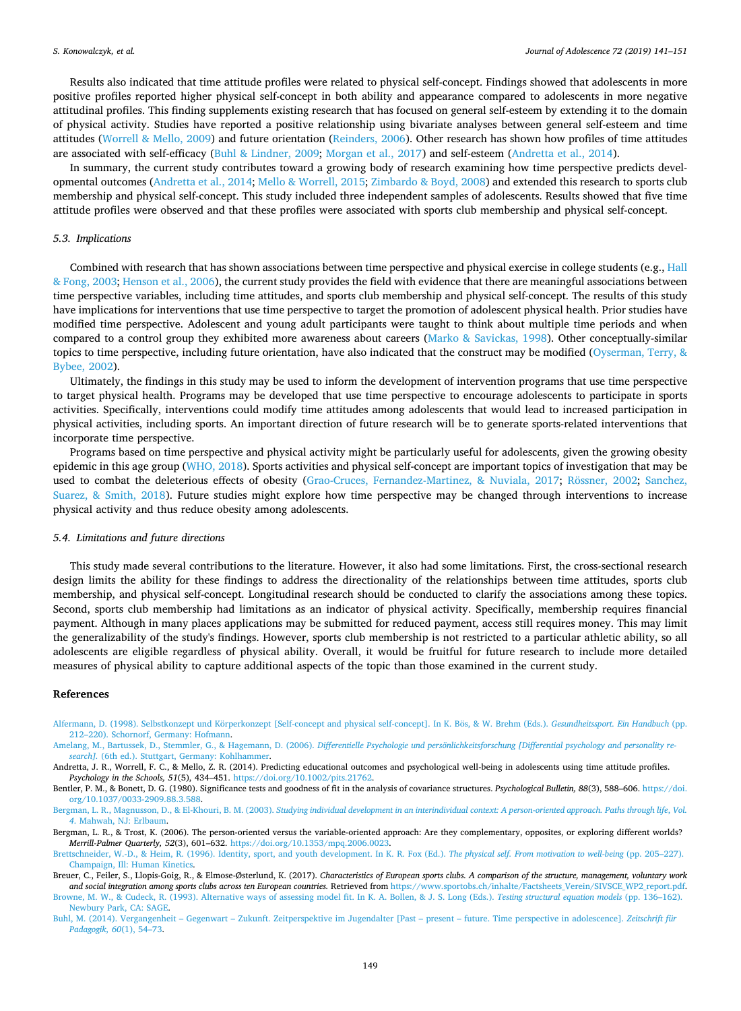Results also indicated that time attitude profiles were related to physical self-concept. Findings showed that adolescents in more positive profiles reported higher physical self-concept in both ability and appearance compared to adolescents in more negative attitudinal profiles. This finding supplements existing research that has focused on general self-esteem by extending it to the domain of physical activity. Studies have reported a positive relationship using bivariate analyses between general self-esteem and time attitudes [\(Worrell & Mello, 2009](#page-10-18)) and future orientation ([Reinders, 2006](#page-10-9)). Other research has shown how profiles of time attitudes are associated with self-efficacy [\(Buhl & Lindner, 2009;](#page-9-17) [Morgan et al., 2017](#page-10-3)) and self-esteem [\(Andretta et al., 2014](#page-8-0)).

In summary, the current study contributes toward a growing body of research examining how time perspective predicts developmental outcomes ([Andretta et al., 2014](#page-8-0); [Mello & Worrell, 2015](#page-9-3); [Zimbardo & Boyd, 2008\)](#page-10-11) and extended this research to sports club membership and physical self-concept. This study included three independent samples of adolescents. Results showed that five time attitude profiles were observed and that these profiles were associated with sports club membership and physical self-concept.

### *5.3. Implications*

Combined with research that has shown associations between time perspective and physical exercise in college students (e.g., [Hall](#page-9-14) [& Fong, 2003;](#page-9-14) [Henson et al., 2006\)](#page-9-13), the current study provides the field with evidence that there are meaningful associations between time perspective variables, including time attitudes, and sports club membership and physical self-concept. The results of this study have implications for interventions that use time perspective to target the promotion of adolescent physical health. Prior studies have modified time perspective. Adolescent and young adult participants were taught to think about multiple time periods and when compared to a control group they exhibited more awareness about careers [\(Marko & Savickas, 1998](#page-9-39)). Other conceptually-similar topics to time perspective, including future orientation, have also indicated that the construct may be modified ([Oyserman, Terry, &](#page-10-19) [Bybee, 2002](#page-10-19)).

Ultimately, the findings in this study may be used to inform the development of intervention programs that use time perspective to target physical health. Programs may be developed that use time perspective to encourage adolescents to participate in sports activities. Specifically, interventions could modify time attitudes among adolescents that would lead to increased participation in physical activities, including sports. An important direction of future research will be to generate sports-related interventions that incorporate time perspective.

Programs based on time perspective and physical activity might be particularly useful for adolescents, given the growing obesity epidemic in this age group [\(WHO, 2018](#page-10-20)). Sports activities and physical self-concept are important topics of investigation that may be used to combat the deleterious effects of obesity [\(Grao-Cruces, Fernandez-Martinez, & Nuviala, 2017](#page-9-40); [Rössner, 2002](#page-10-21); [Sanchez,](#page-10-22) [Suarez, & Smith, 2018\)](#page-10-22). Future studies might explore how time perspective may be changed through interventions to increase physical activity and thus reduce obesity among adolescents.

#### *5.4. Limitations and future directions*

This study made several contributions to the literature. However, it also had some limitations. First, the cross-sectional research design limits the ability for these findings to address the directionality of the relationships between time attitudes, sports club membership, and physical self-concept. Longitudinal research should be conducted to clarify the associations among these topics. Second, sports club membership had limitations as an indicator of physical activity. Specifically, membership requires financial payment. Although in many places applications may be submitted for reduced payment, access still requires money. This may limit the generalizability of the study's findings. However, sports club membership is not restricted to a particular athletic ability, so all adolescents are eligible regardless of physical ability. Overall, it would be fruitful for future research to include more detailed measures of physical ability to capture additional aspects of the topic than those examined in the current study.

#### **References**

<span id="page-8-3"></span>[Alfermann, D. \(1998\). Selbstkonzept und Körperkonzept \[Self-concept and physical self-concept\]. In K. Bös, & W. Brehm \(Eds.\).](http://refhub.elsevier.com/S0140-1971(19)30039-9/sref1) *Gesundheitssport. Ein Handbuch* (pp. [212–220\). Schornorf, Germany: Hofmann](http://refhub.elsevier.com/S0140-1971(19)30039-9/sref1).

<span id="page-8-6"></span>Amelang, M., Bartussek, D., Stemmler, G., & Hagemann, D. (2006). *[Differentielle Psychologie und persönlichkeitsforschung \[Differential psychology and personality re](http://refhub.elsevier.com/S0140-1971(19)30039-9/sref2)search].* [\(6th ed.\). Stuttgart, Germany: Kohlhammer.](http://refhub.elsevier.com/S0140-1971(19)30039-9/sref2)

<span id="page-8-0"></span>Andretta, J. R., Worrell, F. C., & Mello, Z. R. (2014). Predicting educational outcomes and psychological well-being in adolescents using time attitude profiles. *Psychology in the Schools, 51*(5), 434–451. <https://doi.org/10.1002/pits.21762>.

<span id="page-8-7"></span>Bentler, P. M., & Bonett, D. G. (1980). Significance tests and goodness of fit in the analysis of covariance structures. *Psychological Bulletin, 88*(3), 588-606. [https://doi.](https://doi.org/10.1037/0033-2909.88.3.588) [org/10.1037/0033-2909.88.3.588](https://doi.org/10.1037/0033-2909.88.3.588).

<span id="page-8-9"></span>Bergman, L. R., Magnusson, D., & El-Khouri, B. M. (2003). *[Studying individual development in an interindividual context: A person-oriented approach. Paths through life](http://refhub.elsevier.com/S0140-1971(19)30039-9/sref5)*, *Vol. 4*[. Mahwah, NJ: Erlbaum](http://refhub.elsevier.com/S0140-1971(19)30039-9/sref5).

<span id="page-8-1"></span>Bergman, L. R., & Trost, K. (2006). The person-oriented versus the variable-oriented approach: Are they complementary, opposites, or exploring different worlds? *Merrill-Palmer Quarterly, 52*(3), 601–632. [https://doi.org/10.1353/mpq.2006.0023.](https://doi.org/10.1353/mpq.2006.0023)

<span id="page-8-4"></span>[Brettschneider, W.-D., & Heim, R. \(1996\). Identity, sport, and youth development. In K. R. Fox \(Ed.\).](http://refhub.elsevier.com/S0140-1971(19)30039-9/sref7) *The physical self. From motivation to well-being* (pp. 205–227). [Champaign, Ill: Human Kinetics.](http://refhub.elsevier.com/S0140-1971(19)30039-9/sref7)

<span id="page-8-8"></span><span id="page-8-5"></span>Breuer, C., Feiler, S., Llopis-Goig, R., & Elmose-Østerlund, K. (2017). *Characteristics of European sports clubs. A comparison of the structure, management, voluntary work and social integration among sports clubs across ten European countries.* Retrieved from [https://www.sportobs.ch/inhalte/Factsheets\\_Verein/SIVSCE\\_WP2\\_report.pdf](https://www.sportobs.ch/inhalte/Factsheets_Verein/SIVSCE_WP2_report.pdf). [Browne, M. W., & Cudeck, R. \(1993\). Alternative ways of assessing model fit. In K. A. Bollen, & J. S. Long \(Eds.\).](http://refhub.elsevier.com/S0140-1971(19)30039-9/sref9) *Testing structural equation models* (pp. 136–162). [Newbury Park, CA: SAGE.](http://refhub.elsevier.com/S0140-1971(19)30039-9/sref9)

<span id="page-8-2"></span>[Buhl, M. \(2014\). Vergangenheit – Gegenwart – Zukunft. Zeitperspektive im Jugendalter \[Past – present – future. Time perspective in adolescence\].](http://refhub.elsevier.com/S0140-1971(19)30039-9/sref10) *Zeitschrift für [Padagogik, 60](http://refhub.elsevier.com/S0140-1971(19)30039-9/sref10)*(1), 54–73.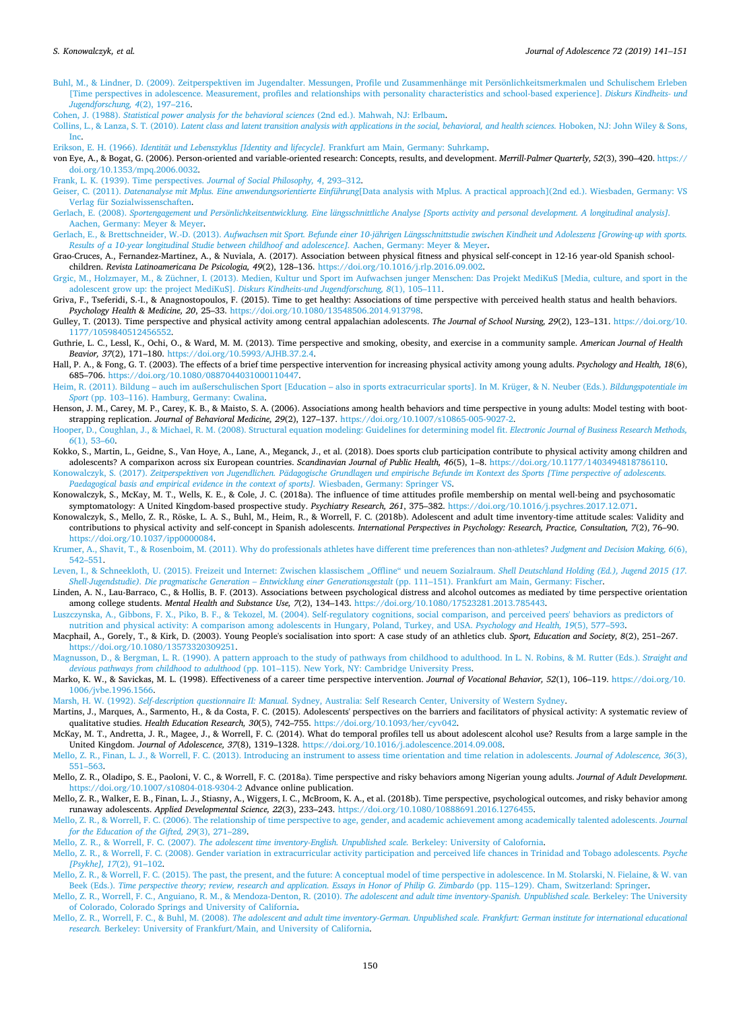- <span id="page-9-17"></span>[Buhl, M., & Lindner, D. \(2009\). Zeitperspektiven im Jugendalter. Messungen, Profile und Zusammenhänge mit Persönlichkeitsmerkmalen und Schulischem Erleben](http://refhub.elsevier.com/S0140-1971(19)30039-9/sref11) [\[Time perspectives in adolescence. Measurement, profiles and relationships with personality characteristics and school-based experience\].](http://refhub.elsevier.com/S0140-1971(19)30039-9/sref11) *Diskurs Kindheits- und [Jugendforschung, 4](http://refhub.elsevier.com/S0140-1971(19)30039-9/sref11)*(2), 197–216.
- <span id="page-9-38"></span>Cohen, J. (1988). *[Statistical power analysis for the behavioral sciences](http://refhub.elsevier.com/S0140-1971(19)30039-9/sref12)* (2nd ed.). Mahwah, NJ: Erlbaum.
- <span id="page-9-36"></span>Collins, L., & Lanza, S. T. (2010). *[Latent class and latent transition analysis with applications in the social, behavioral, and health sciences.](http://refhub.elsevier.com/S0140-1971(19)30039-9/sref13)* Hoboken, NJ: John Wiley & Sons, [Inc.](http://refhub.elsevier.com/S0140-1971(19)30039-9/sref13)

<span id="page-9-4"></span>Erikson, E. H. (1966). *[Identität und Lebenszyklus \[Identity and lifecycle\].](http://refhub.elsevier.com/S0140-1971(19)30039-9/sref14)* Frankfurt am Main, Germany: Suhrkamp.

<span id="page-9-16"></span>von Eye, A., & Bogat, G. (2006). Person-oriented and variable-oriented research: Concepts, results, and development. *Merrill-Palmer Quarterly, 52*(3), 390–420. [https://](https://doi.org/10.1353/mpq.2006.0032) [doi.org/10.1353/mpq.2006.0032](https://doi.org/10.1353/mpq.2006.0032).

<span id="page-9-0"></span>[Frank, L. K. \(1939\). Time perspectives.](http://refhub.elsevier.com/S0140-1971(19)30039-9/sref16) *Journal of Social Philosophy, 4*, 293–312.

- <span id="page-9-37"></span>Geiser, C. (2011). *Datenanalyse mit Mplus. Eine anwendungsorientierte Einführung*[\[Data analysis with Mplus. A practical approach\]\(2nd ed.\). Wiesbaden, Germany: VS](http://refhub.elsevier.com/S0140-1971(19)30039-9/sref17) [Verlag für Sozialwissenschaften.](http://refhub.elsevier.com/S0140-1971(19)30039-9/sref17)
- <span id="page-9-20"></span>Gerlach, E. (2008). *[Sportengagement und Persönlichkeitsentwicklung. Eine längsschnittliche Analyse \[Sports activity and personal development. A longitudinal analysis\].](http://refhub.elsevier.com/S0140-1971(19)30039-9/sref18)* [Aachen, Germany: Meyer & Meyer](http://refhub.elsevier.com/S0140-1971(19)30039-9/sref18).
- <span id="page-9-22"></span>Gerlach, E., & Brettschneider, W.-D. (2013). *[Aufwachsen mit Sport. Befunde einer 10-jährigen Längsschnittstudie zwischen Kindheit und Adoleszenz \[Growing-up with sports.](http://refhub.elsevier.com/S0140-1971(19)30039-9/sref19) [Results of a 10-year longitudinal Studie between childhoof and adolescence\].](http://refhub.elsevier.com/S0140-1971(19)30039-9/sref19)* Aachen, Germany: Meyer & Meyer.
- <span id="page-9-40"></span>Grao-Cruces, A., Fernandez-Martinez, A., & Nuviala, A. (2017). Association between physical fitness and physical self-concept in 12-16 year-old Spanish schoolchildren. *Revista Latinoamericana De Psicologia, 49*(2), 128–136. [https://doi.org/10.1016/j.rlp.2016.09.002.](https://doi.org/10.1016/j.rlp.2016.09.002)
- <span id="page-9-18"></span>[Grgic, M., Holzmayer, M., & Züchner, I. \(2013\). Medien, Kultur und Sport im Aufwachsen junger Menschen: Das Projekt MediKuS \[Media, culture, and sport in the](http://refhub.elsevier.com/S0140-1971(19)30039-9/sref21) [adolescent grow up: the project MediKuS\].](http://refhub.elsevier.com/S0140-1971(19)30039-9/sref21) *Diskurs Kindheits-und Jugendforschung, 8*(1), 105–111.
- <span id="page-9-2"></span>Griva, F., Tseferidi, S.-I., & Anagnostopoulos, F. (2015). Time to get healthy: Associations of time perspective with perceived health status and health behaviors. *Psychology Health & Medicine, 20*, 25–33. <https://doi.org/10.1080/13548506.2014.913798>.
- <span id="page-9-12"></span>Gulley, T. (2013). Time perspective and physical activity among central appalachian adolescents. *The Journal of School Nursing, 29*(2), 123–131. [https://doi.org/10.](https://doi.org/10.1177/1059840512456552) [1177/1059840512456552.](https://doi.org/10.1177/1059840512456552)
- <span id="page-9-28"></span>Guthrie, L. C., Lessl, K., Ochi, O., & Ward, M. M. (2013). Time perspective and smoking, obesity, and exercise in a community sample. *American Journal of Health Beavior, 37*(2), 171–180. [https://doi.org/10.5993/AJHB.37.2.4.](https://doi.org/10.5993/AJHB.37.2.4)
- <span id="page-9-14"></span>Hall, P. A., & Fong, G. T. (2003). The effects of a brief time perspective intervention for increasing physical activity among young adults. *Psychology and Health, 18*(6), 685–706. [https://doi.org/10.1080/0887044031000110447.](https://doi.org/10.1080/0887044031000110447)
- <span id="page-9-29"></span>[Heim, R. \(2011\). Bildung – auch im außerschulischen Sport \[Education – also in sports extracurricular sports\]. In M. Krüger, & N. Neuber \(Eds.\).](http://refhub.elsevier.com/S0140-1971(19)30039-9/sref26) *Bildungspotentiale im Sport* [\(pp. 103–116\). Hamburg, Germany: Cwalina](http://refhub.elsevier.com/S0140-1971(19)30039-9/sref26).
- <span id="page-9-13"></span>Henson, J. M., Carey, M. P., Carey, K. B., & Maisto, S. A. (2006). Associations among health behaviors and time perspective in young adults: Model testing with bootstrapping replication. *Journal of Behavioral Medicine, 29*(2), 127–137. <https://doi.org/10.1007/s10865-005-9027-2>.
- <span id="page-9-34"></span>[Hooper, D., Coughlan, J., & Michael, R. M. \(2008\). Structural equation modeling: Guidelines for determining model fit.](http://refhub.elsevier.com/S0140-1971(19)30039-9/sref28) *Electronic Journal of Business Research Methods, 6*[\(1\), 53–60](http://refhub.elsevier.com/S0140-1971(19)30039-9/sref28).
- <span id="page-9-24"></span>Kokko, S., Martin, L., Geidne, S., Van Hoye, A., Lane, A., Meganck, J., et al. (2018). Does sports club participation contribute to physical activity among children and adolescents? A comparixon across six European countries. *Scandinavian Journal of Public Health, 46*(5), 1–8. <https://doi.org/10.1177/1403494818786110>.

<span id="page-9-8"></span>Konowalczyk, S. (2017). *[Zeitperspektiven von Jugendlichen. Pädagogische Grundlagen und empirische Befunde im Kontext des Sports \[Time perspective of adolescents.](http://refhub.elsevier.com/S0140-1971(19)30039-9/sref30) [Paedagogical basis and empirical evidence in the context of sports\].](http://refhub.elsevier.com/S0140-1971(19)30039-9/sref30)* Wiesbaden, Germany: Springer VS.

- <span id="page-9-11"></span>Konowalczyk, S., McKay, M. T., Wells, K. E., & Cole, J. C. (2018a). The influence of time attitudes profile membership on mental well-being and psychosomatic symptomatology: A United Kingdom-based prospective study. *Psychiatry Research, 261*, 375–382. [https://doi.org/10.1016/j.psychres.2017.12.071.](https://doi.org/10.1016/j.psychres.2017.12.071)
- <span id="page-9-33"></span>Konowalczyk, S., Mello, Z. R., Röske, L. A. S., Buhl, M., Heim, R., & Worrell, F. C. (2018b). Adolescent and adult time inventory-time attitude scales: Validity and contributions to physical activity and self-concept in Spanish adolescents. *International Perspectives in Psychology: Research, Practice, Consultation, 7*(2), 76–90. [https://doi.org/10.1037/ipp0000084.](https://doi.org/10.1037/ipp0000084)

<span id="page-9-27"></span>[Krumer, A., Shavit, T., & Rosenboim, M. \(2011\). Why do professionals athletes have different time preferences than non-athletes?](http://refhub.elsevier.com/S0140-1971(19)30039-9/sref33) *Judgment and Decision Making, 6*(6), [542–551.](http://refhub.elsevier.com/S0140-1971(19)30039-9/sref33)

- <span id="page-9-19"></span>[Leven, I., & Schneekloth, U. \(2015\). Freizeit und Internet: Zwischen klassischem "Offline" und neuem Sozialraum.](http://refhub.elsevier.com/S0140-1971(19)30039-9/sref34) *Shell Deutschland Holding (Ed.), Jugend 2015 (17. [Shell-Jugendstudie\). Die pragmatische Generation – Entwicklung einer Generationsgestalt](http://refhub.elsevier.com/S0140-1971(19)30039-9/sref34)* (pp. 111–151). Frankfurt am Main, Germany: Fischer.
- <span id="page-9-1"></span>Linden, A. N., Lau-Barraco, C., & Hollis, B. F. (2013). Associations between psychological distress and alcohol outcomes as mediated by time perspective orientation among college students. *Mental Health and Substance Use, 7*(2), 134–143. <https://doi.org/10.1080/17523281.2013.785443>.
- <span id="page-9-25"></span>[Luszczynska, A., Gibbons, F. X., Piko, B. F., & Tekozel, M. \(2004\). Self-regulatory cognitions, social comparison, and perceived peers' behaviors as predictors of](http://refhub.elsevier.com/S0140-1971(19)30039-9/sref36) [nutrition and physical activity: A comparison among adolescents in Hungary, Poland, Turkey, and USA.](http://refhub.elsevier.com/S0140-1971(19)30039-9/sref36) *Psychology and Health, 19*(5), 577–593.
- <span id="page-9-23"></span>Macphail, A., Gorely, T., & Kirk, D. (2003). Young People's socialisation into sport: A case study of an athletics club. *Sport, Education and Society, 8*(2), 251–267. [https://doi.org/10.1080/13573320309251.](https://doi.org/10.1080/13573320309251)
- <span id="page-9-10"></span>[Magnusson, D., & Bergman, L. R. \(1990\). A pattern approach to the study of pathways from childhood to adulthood. In L. N. Robins, & M. Rutter \(Eds.\).](http://refhub.elsevier.com/S0140-1971(19)30039-9/sref38) *Straight and devious pathways from childhood to adulthood* [\(pp. 101–115\). New York, NY: Cambridge University Press](http://refhub.elsevier.com/S0140-1971(19)30039-9/sref38).
- <span id="page-9-39"></span>Marko, K. W., & Savickas, M. L. (1998). Effectiveness of a career time perspective intervention. *Journal of Vocational Behavior, 52*(1), 106–119. [https://doi.org/10.](https://doi.org/10.1006/jvbe.1996.1566) [1006/jvbe.1996.1566.](https://doi.org/10.1006/jvbe.1996.1566)

<span id="page-9-35"></span>Marsh, H. W. (1992). *Self-description questionnaire II: Manual.* [Sydney, Australia: Self Research Center, University of Western Sydney](http://refhub.elsevier.com/S0140-1971(19)30039-9/sref40).

- <span id="page-9-21"></span>Martins, J., Marques, A., Sarmento, H., & da Costa, F. C. (2015). Adolescents' perspectives on the barriers and facilitators of physical activity: A systematic review of qualitative studies. *Health Education Research, 30*(5), 742–755. [https://doi.org/10.1093/her/cyv042.](https://doi.org/10.1093/her/cyv042)
- <span id="page-9-15"></span>McKay, M. T., Andretta, J. R., Magee, J., & Worrell, F. C. (2014). What do temporal profiles tell us about adolescent alcohol use? Results from a large sample in the United Kingdom. *Journal of Adolescence, 37*(8), 1319–1328. <https://doi.org/10.1016/j.adolescence.2014.09.008>.

<span id="page-9-6"></span>[Mello, Z. R., Finan, L. J., & Worrell, F. C. \(2013\). Introducing an instrument to assess time orientation and time relation in adolescents.](http://refhub.elsevier.com/S0140-1971(19)30039-9/sref43) *Journal of Adolescence, 36*(3), [551–563.](http://refhub.elsevier.com/S0140-1971(19)30039-9/sref43)

- <span id="page-9-7"></span>Mello, Z. R., Oladipo, S. E., Paoloni, V. C., & Worrell, F. C. (2018a). Time perspective and risky behaviors among Nigerian young adults. *Journal of Adult Development*. <https://doi.org/10.1007/s10804-018-9304-2> Advance online publication.
- <span id="page-9-9"></span>Mello, Z. R., Walker, E. B., Finan, L. J., Stiasny, A., Wiggers, I. C., McBroom, K. A., et al. (2018b). Time perspective, psychological outcomes, and risky behavior among runaway adolescents. *Applied Developmental Science, 22*(3), 233–243. [https://doi.org/10.1080/10888691.2016.1276455.](https://doi.org/10.1080/10888691.2016.1276455)
- <span id="page-9-5"></span>[Mello, Z. R., & Worrell, F. C. \(2006\). The relationship of time perspective to age, gender, and academic achievement among academically talented adolescents.](http://refhub.elsevier.com/S0140-1971(19)30039-9/sref46) *Journal [for the Education of the Gifted, 29](http://refhub.elsevier.com/S0140-1971(19)30039-9/sref46)*(3), 271–289.
- <span id="page-9-30"></span>Mello, Z. R., & Worrell, F. C. (2007). *[The adolescent time inventory-English. Unpublished scale.](http://refhub.elsevier.com/S0140-1971(19)30039-9/sref47)* Berkeley: University of Calofornia.
- <span id="page-9-26"></span>[Mello, Z. R., & Worrell, F. C. \(2008\). Gender variation in extracurricular activity participation and perceived life chances in Trinidad and Tobago adolescents.](http://refhub.elsevier.com/S0140-1971(19)30039-9/sref48) *Psyche [\[Psykhe\], 17](http://refhub.elsevier.com/S0140-1971(19)30039-9/sref48)*(2), 91–102.
- <span id="page-9-3"></span>[Mello, Z. R., & Worrell, F. C. \(2015\). The past, the present, and the future: A conceptual model of time perspective in adolescence. In M. Stolarski, N. Fielaine, & W. van](http://refhub.elsevier.com/S0140-1971(19)30039-9/sref49) Beek (Eds.). *[Time perspective theory; review, research and application. Essays in Honor of Philip G. Zimbardo](http://refhub.elsevier.com/S0140-1971(19)30039-9/sref49)* (pp. 115–129). Cham, Switzerland: Springer.
- <span id="page-9-32"></span>[Mello, Z. R., Worrell, F. C., Anguiano, R. M., & Mendoza-Denton, R. \(2010\).](http://refhub.elsevier.com/S0140-1971(19)30039-9/sref50) *The adolescent and adult time inventory-Spanish. Unpublished scale.* Berkeley: The University [of Colorado, Colorado Springs and University of California](http://refhub.elsevier.com/S0140-1971(19)30039-9/sref50).
- <span id="page-9-31"></span>Mello, Z. R., Worrell, F. C., & Buhl, M. (2008). *[The adolescent and adult time inventory-German. Unpublished scale. Frankfurt: German institute for international educational](http://refhub.elsevier.com/S0140-1971(19)30039-9/sref51) research.* [Berkeley: University of Frankfurt/Main, and University of California.](http://refhub.elsevier.com/S0140-1971(19)30039-9/sref51)